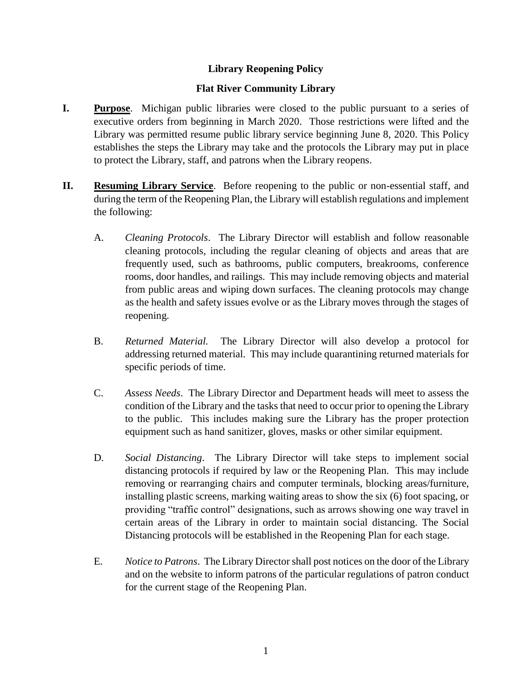## **Library Reopening Policy**

## **Flat River Community Library**

- **I. Purpose**. Michigan public libraries were closed to the public pursuant to a series of executive orders from beginning in March 2020. Those restrictions were lifted and the Library was permitted resume public library service beginning June 8, 2020. This Policy establishes the steps the Library may take and the protocols the Library may put in place to protect the Library, staff, and patrons when the Library reopens.
- **II. Resuming Library Service**. Before reopening to the public or non-essential staff, and during the term of the Reopening Plan, the Library will establish regulations and implement the following:
	- A. *Cleaning Protocols*. The Library Director will establish and follow reasonable cleaning protocols, including the regular cleaning of objects and areas that are frequently used, such as bathrooms, public computers, breakrooms, conference rooms, door handles, and railings. This may include removing objects and material from public areas and wiping down surfaces. The cleaning protocols may change as the health and safety issues evolve or as the Library moves through the stages of reopening.
	- B. *Returned Material.* The Library Director will also develop a protocol for addressing returned material. This may include quarantining returned materials for specific periods of time.
	- C. *Assess Needs*. The Library Director and Department heads will meet to assess the condition of the Library and the tasks that need to occur prior to opening the Library to the public. This includes making sure the Library has the proper protection equipment such as hand sanitizer, gloves, masks or other similar equipment.
	- D. *Social Distancing*. The Library Director will take steps to implement social distancing protocols if required by law or the Reopening Plan. This may include removing or rearranging chairs and computer terminals, blocking areas/furniture, installing plastic screens, marking waiting areas to show the six (6) foot spacing, or providing "traffic control" designations, such as arrows showing one way travel in certain areas of the Library in order to maintain social distancing. The Social Distancing protocols will be established in the Reopening Plan for each stage.
	- E. *Notice to Patrons*. The Library Director shall post notices on the door of the Library and on the website to inform patrons of the particular regulations of patron conduct for the current stage of the Reopening Plan.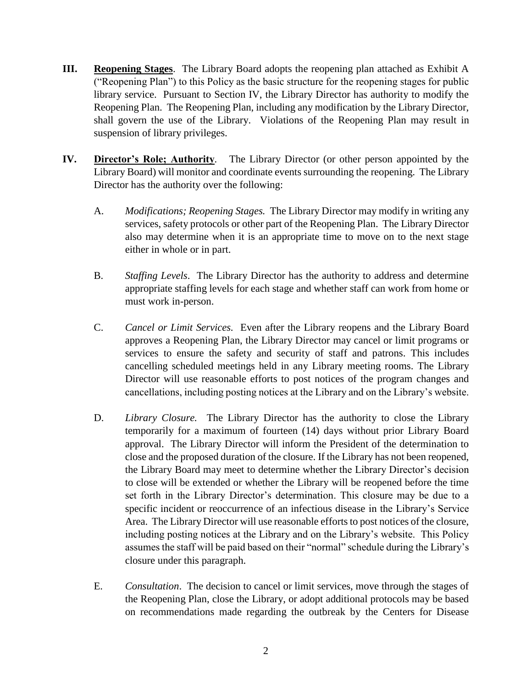- **III. Reopening Stages**. The Library Board adopts the reopening plan attached as Exhibit A ("Reopening Plan") to this Policy as the basic structure for the reopening stages for public library service. Pursuant to Section IV, the Library Director has authority to modify the Reopening Plan. The Reopening Plan, including any modification by the Library Director, shall govern the use of the Library. Violations of the Reopening Plan may result in suspension of library privileges.
- **IV. Director's Role; Authority***.* The Library Director (or other person appointed by the Library Board) will monitor and coordinate events surrounding the reopening. The Library Director has the authority over the following:
	- A. *Modifications; Reopening Stages.* The Library Director may modify in writing any services, safety protocols or other part of the Reopening Plan. The Library Director also may determine when it is an appropriate time to move on to the next stage either in whole or in part.
	- B. *Staffing Levels*. The Library Director has the authority to address and determine appropriate staffing levels for each stage and whether staff can work from home or must work in-person.
	- C. *Cancel or Limit Services.* Even after the Library reopens and the Library Board approves a Reopening Plan, the Library Director may cancel or limit programs or services to ensure the safety and security of staff and patrons. This includes cancelling scheduled meetings held in any Library meeting rooms. The Library Director will use reasonable efforts to post notices of the program changes and cancellations, including posting notices at the Library and on the Library's website.
	- D. *Library Closure.* The Library Director has the authority to close the Library temporarily for a maximum of fourteen (14) days without prior Library Board approval. The Library Director will inform the President of the determination to close and the proposed duration of the closure. If the Library has not been reopened, the Library Board may meet to determine whether the Library Director's decision to close will be extended or whether the Library will be reopened before the time set forth in the Library Director's determination. This closure may be due to a specific incident or reoccurrence of an infectious disease in the Library's Service Area. The Library Director will use reasonable efforts to post notices of the closure, including posting notices at the Library and on the Library's website. This Policy assumes the staff will be paid based on their "normal" schedule during the Library's closure under this paragraph.
	- E. *Consultation*. The decision to cancel or limit services, move through the stages of the Reopening Plan, close the Library, or adopt additional protocols may be based on recommendations made regarding the outbreak by the Centers for Disease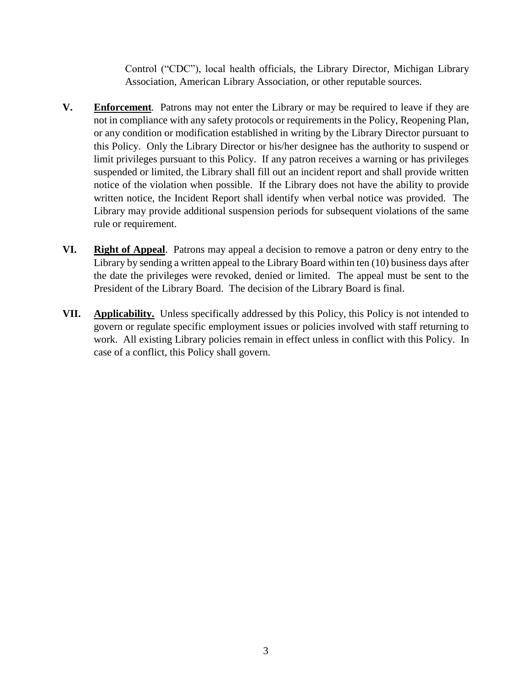Control ("CDC"), local health officials, the Library Director, Michigan Library Association, American Library Association, or other reputable sources.

- **V. Enforcement***.* Patrons may not enter the Library or may be required to leave if they are not in compliance with any safety protocols or requirements in the Policy, Reopening Plan, or any condition or modification established in writing by the Library Director pursuant to this Policy. Only the Library Director or his/her designee has the authority to suspend or limit privileges pursuant to this Policy. If any patron receives a warning or has privileges suspended or limited, the Library shall fill out an incident report and shall provide written notice of the violation when possible. If the Library does not have the ability to provide written notice, the Incident Report shall identify when verbal notice was provided. The Library may provide additional suspension periods for subsequent violations of the same rule or requirement.
- **VI. Right of Appeal**. Patrons may appeal a decision to remove a patron or deny entry to the Library by sending a written appeal to the Library Board within ten (10) business days after the date the privileges were revoked, denied or limited. The appeal must be sent to the President of the Library Board. The decision of the Library Board is final.
- **VII. Applicability.** Unless specifically addressed by this Policy, this Policy is not intended to govern or regulate specific employment issues or policies involved with staff returning to work. All existing Library policies remain in effect unless in conflict with this Policy. In case of a conflict, this Policy shall govern.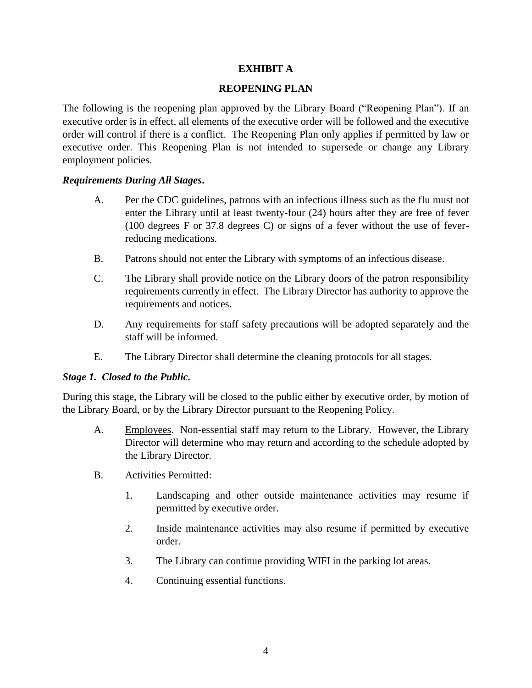## **EXHIBIT A**

#### **REOPENING PLAN**

The following is the reopening plan approved by the Library Board ("Reopening Plan"). If an executive order is in effect, all elements of the executive order will be followed and the executive order will control if there is a conflict. The Reopening Plan only applies if permitted by law or executive order. This Reopening Plan is not intended to supersede or change any Library employment policies.

### *Requirements During All Stages***.**

- A. Per the CDC guidelines, patrons with an infectious illness such as the flu must not enter the Library until at least twenty-four (24) hours after they are free of fever (100 degrees F or 37.8 degrees C) or signs of a fever without the use of feverreducing medications.
- B. Patrons should not enter the Library with symptoms of an infectious disease.
- C. The Library shall provide notice on the Library doors of the patron responsibility requirements currently in effect. The Library Director has authority to approve the requirements and notices.
- D. Any requirements for staff safety precautions will be adopted separately and the staff will be informed.
- E. The Library Director shall determine the cleaning protocols for all stages.

#### *Stage 1. Closed to the Public.*

During this stage, the Library will be closed to the public either by executive order, by motion of the Library Board, or by the Library Director pursuant to the Reopening Policy.

- A. Employees. Non-essential staff may return to the Library. However, the Library Director will determine who may return and according to the schedule adopted by the Library Director.
- B. Activities Permitted:
	- 1. Landscaping and other outside maintenance activities may resume if permitted by executive order.
	- 2. Inside maintenance activities may also resume if permitted by executive order.
	- 3. The Library can continue providing WIFI in the parking lot areas.
	- 4. Continuing essential functions.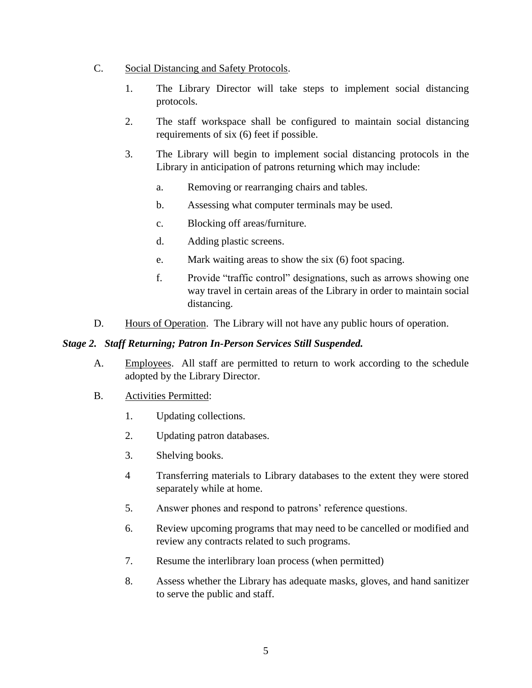- C. Social Distancing and Safety Protocols.
	- 1. The Library Director will take steps to implement social distancing protocols.
	- 2. The staff workspace shall be configured to maintain social distancing requirements of six (6) feet if possible.
	- 3. The Library will begin to implement social distancing protocols in the Library in anticipation of patrons returning which may include:
		- a. Removing or rearranging chairs and tables.
		- b. Assessing what computer terminals may be used.
		- c. Blocking off areas/furniture.
		- d. Adding plastic screens.
		- e. Mark waiting areas to show the six (6) foot spacing.
		- f. Provide "traffic control" designations, such as arrows showing one way travel in certain areas of the Library in order to maintain social distancing.
- D. Hours of Operation. The Library will not have any public hours of operation.

#### *Stage 2. Staff Returning; Patron In-Person Services Still Suspended.*

- A. Employees. All staff are permitted to return to work according to the schedule adopted by the Library Director.
- B. Activities Permitted:
	- 1. Updating collections.
	- 2. Updating patron databases.
	- 3. Shelving books.
	- 4 Transferring materials to Library databases to the extent they were stored separately while at home.
	- 5. Answer phones and respond to patrons' reference questions.
	- 6. Review upcoming programs that may need to be cancelled or modified and review any contracts related to such programs.
	- 7. Resume the interlibrary loan process (when permitted)
	- 8. Assess whether the Library has adequate masks, gloves, and hand sanitizer to serve the public and staff.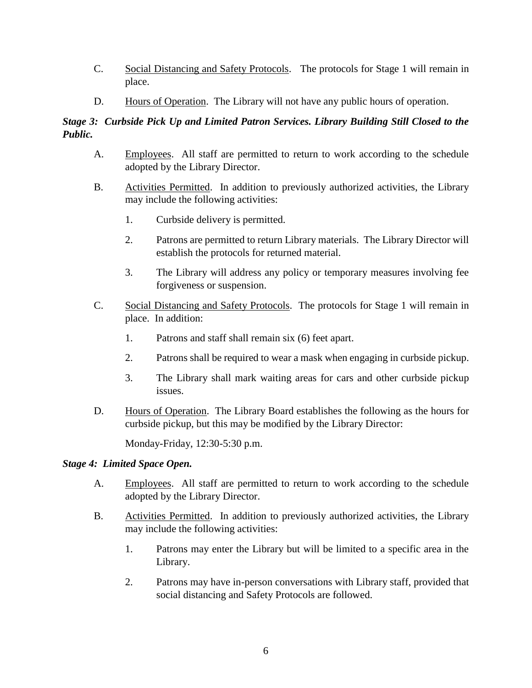- C. Social Distancing and Safety Protocols. The protocols for Stage 1 will remain in place.
- D. Hours of Operation. The Library will not have any public hours of operation.

# *Stage 3: Curbside Pick Up and Limited Patron Services. Library Building Still Closed to the Public.*

- A. Employees. All staff are permitted to return to work according to the schedule adopted by the Library Director.
- B. Activities Permitted. In addition to previously authorized activities, the Library may include the following activities:
	- 1. Curbside delivery is permitted.
	- 2. Patrons are permitted to return Library materials. The Library Director will establish the protocols for returned material.
	- 3. The Library will address any policy or temporary measures involving fee forgiveness or suspension.
- C. Social Distancing and Safety Protocols. The protocols for Stage 1 will remain in place. In addition:
	- 1. Patrons and staff shall remain six (6) feet apart.
	- 2. Patrons shall be required to wear a mask when engaging in curbside pickup.
	- 3. The Library shall mark waiting areas for cars and other curbside pickup issues.
- D. Hours of Operation. The Library Board establishes the following as the hours for curbside pickup, but this may be modified by the Library Director:

Monday-Friday, 12:30-5:30 p.m.

## *Stage 4: Limited Space Open.*

- A. Employees. All staff are permitted to return to work according to the schedule adopted by the Library Director.
- B. Activities Permitted. In addition to previously authorized activities, the Library may include the following activities:
	- 1. Patrons may enter the Library but will be limited to a specific area in the Library.
	- 2. Patrons may have in-person conversations with Library staff, provided that social distancing and Safety Protocols are followed.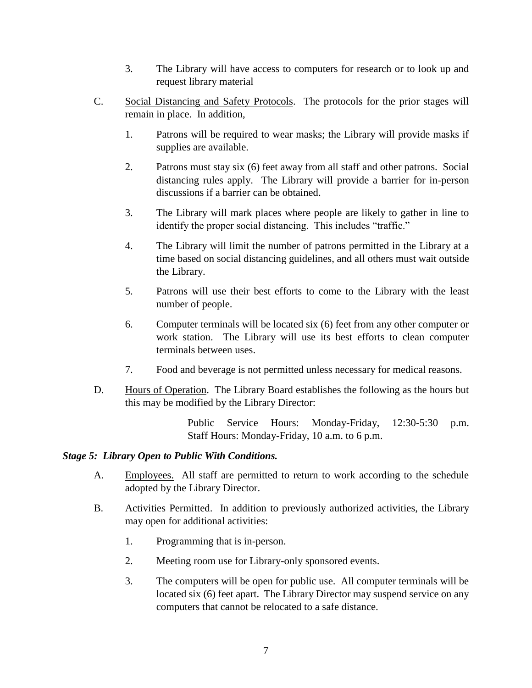- 3. The Library will have access to computers for research or to look up and request library material
- C. Social Distancing and Safety Protocols. The protocols for the prior stages will remain in place. In addition,
	- 1. Patrons will be required to wear masks; the Library will provide masks if supplies are available.
	- 2. Patrons must stay six (6) feet away from all staff and other patrons. Social distancing rules apply. The Library will provide a barrier for in-person discussions if a barrier can be obtained.
	- 3. The Library will mark places where people are likely to gather in line to identify the proper social distancing. This includes "traffic."
	- 4. The Library will limit the number of patrons permitted in the Library at a time based on social distancing guidelines, and all others must wait outside the Library.
	- 5. Patrons will use their best efforts to come to the Library with the least number of people.
	- 6. Computer terminals will be located six (6) feet from any other computer or work station. The Library will use its best efforts to clean computer terminals between uses.
	- 7. Food and beverage is not permitted unless necessary for medical reasons.
- D. Hours of Operation. The Library Board establishes the following as the hours but this may be modified by the Library Director:

Public Service Hours: Monday-Friday, 12:30-5:30 p.m. Staff Hours: Monday-Friday, 10 a.m. to 6 p.m.

## *Stage 5: Library Open to Public With Conditions.*

- A. Employees. All staff are permitted to return to work according to the schedule adopted by the Library Director.
- B. Activities Permitted. In addition to previously authorized activities, the Library may open for additional activities:
	- 1. Programming that is in-person.
	- 2. Meeting room use for Library-only sponsored events.
	- 3. The computers will be open for public use. All computer terminals will be located six (6) feet apart. The Library Director may suspend service on any computers that cannot be relocated to a safe distance.